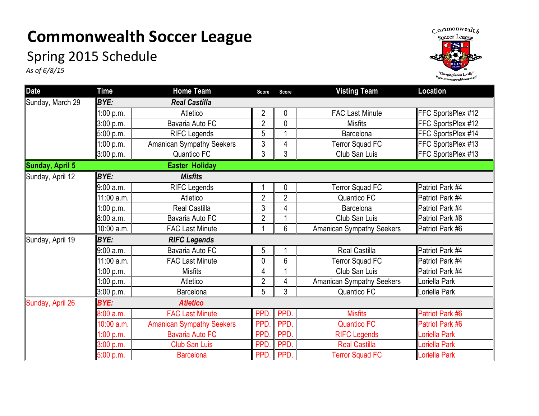## **Commonwealth Soccer League**

## Spring 2015 Schedule

*As of 6/8/15*



| <b>Date</b>      | <b>Time</b>                 | <b>Home Team</b>                 | <b>Score</b>   | <b>Score</b>   | <b>Visting Team</b>              | Location           |  |  |
|------------------|-----------------------------|----------------------------------|----------------|----------------|----------------------------------|--------------------|--|--|
| Sunday, March 29 | BYE:                        | <b>Real Castilla</b>             |                |                |                                  |                    |  |  |
|                  | 1:00 p.m.                   | Atletico                         | $\overline{2}$ | 0              | <b>FAC Last Minute</b>           | FFC SportsPlex #12 |  |  |
|                  | 3:00 p.m.                   | Bavaria Auto FC                  | $\overline{2}$ | 0              | <b>Misfits</b>                   | FFC SportsPlex #12 |  |  |
|                  | 5:00 p.m.                   | <b>RIFC Legends</b>              | 5              |                | Barcelona                        | FFC SportsPlex #14 |  |  |
|                  | 1:00 p.m.                   | <b>Amanican Sympathy Seekers</b> | 3              | 4              | <b>Terror Squad FC</b>           | FFC SportsPlex #13 |  |  |
|                  | 3:00 p.m.                   | Quantico FC                      | 3              | 3              | Club San Luis                    | FFC SportsPlex #13 |  |  |
| Sunday, April 5  |                             | <b>Easter Holiday</b>            |                |                |                                  |                    |  |  |
| Sunday, April 12 | <b>BYE:</b>                 | <b>Misfits</b>                   |                |                |                                  |                    |  |  |
|                  | 9:00 a.m.                   | <b>RIFC Legends</b>              |                | 0              | <b>Terror Squad FC</b>           | Patriot Park #4    |  |  |
|                  | 11:00 a.m.                  | Atletico                         | $\overline{2}$ | $\overline{2}$ | Quantico FC                      | Patriot Park #4    |  |  |
|                  | 1:00 p.m.                   | Real Castilla                    | 3              | 4              | Barcelona                        | Patriot Park #4    |  |  |
|                  | 8:00 a.m.                   | Bavaria Auto FC                  | $\overline{2}$ |                | Club San Luis                    | Patriot Park #6    |  |  |
|                  | 10:00 a.m.                  | <b>FAC Last Minute</b>           |                | 6              | <b>Amanican Sympathy Seekers</b> | Patriot Park #6    |  |  |
| Sunday, April 19 | BYE:<br><b>RIFC Legends</b> |                                  |                |                |                                  |                    |  |  |
|                  | 9:00 a.m.                   | Bavaria Auto FC                  | 5              |                | <b>Real Castilla</b>             | Patriot Park #4    |  |  |
|                  | 11:00 a.m.                  | <b>FAC Last Minute</b>           | $\mathbf 0$    | 6              | <b>Terror Squad FC</b>           | Patriot Park #4    |  |  |
|                  | 1:00 p.m.                   | <b>Misfits</b>                   | 4              |                | Club San Luis                    | Patriot Park #4    |  |  |
|                  | 1:00 p.m.                   | Atletico                         | $\overline{2}$ | 4              | <b>Amanican Sympathy Seekers</b> | oriella Park       |  |  |
|                  | 3:00 p.m.                   | Barcelona                        | 5              | 3              | Quantico FC                      | oriella Park       |  |  |
| Sunday, April 26 | BYE:<br><b>Atletico</b>     |                                  |                |                |                                  |                    |  |  |
|                  | 8:00 a.m.                   | <b>FAC Last Minute</b>           | PPD.           | PPD.           | <b>Misfits</b>                   | Patriot Park #6    |  |  |
|                  | 10:00 a.m.                  | <b>Amanican Sympathy Seekers</b> | <b>PPD</b>     | PPD.           | <b>Quantico FC</b>               | Patriot Park #6    |  |  |
|                  | 1:00 p.m.                   | <b>Bavaria Auto FC</b>           | PPD.           | PPD.           | <b>RIFC Legends</b>              | Loriella Park      |  |  |
|                  | 3:00 p.m.                   | <b>Club San Luis</b>             | PPD.           | PPD.           | <b>Real Castilla</b>             | oriella Park       |  |  |
|                  | 5:00 p.m.                   | <b>Barcelona</b>                 | PPD.           | PPD.           | <b>Terror Squad FC</b>           | Loriella Park      |  |  |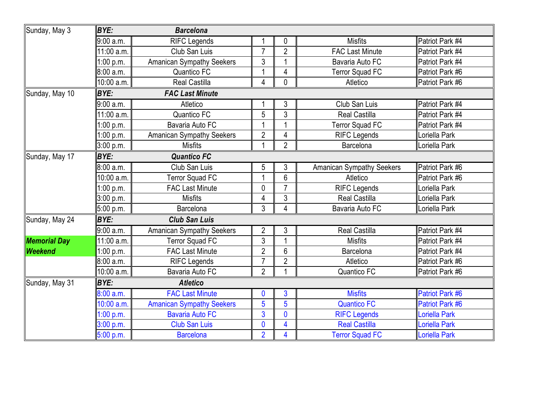| Sunday, May 3       | <b>BYE:</b><br><b>Barcelona</b>       |                                  |                |                |                                  |                      |  |  |  |
|---------------------|---------------------------------------|----------------------------------|----------------|----------------|----------------------------------|----------------------|--|--|--|
|                     | 9:00 a.m.                             | <b>RIFC Legends</b>              |                | $\mathbf 0$    | <b>Misfits</b>                   | Patriot Park #4      |  |  |  |
|                     | 11:00 a.m.                            | Club San Luis                    | $\overline{7}$ | $\overline{2}$ | <b>FAC Last Minute</b>           | Patriot Park #4      |  |  |  |
|                     | 1:00 p.m.                             | <b>Amanican Sympathy Seekers</b> | 3              |                | Bavaria Auto FC                  | Patriot Park #4      |  |  |  |
|                     | 8:00 a.m.                             | Quantico FC                      | 1              | 4              | <b>Terror Squad FC</b>           | Patriot Park #6      |  |  |  |
|                     | 10:00 a.m.                            | <b>Real Castilla</b>             | $\overline{4}$ | $\mathbf{0}$   | Atletico                         | Patriot Park #6      |  |  |  |
| Sunday, May 10      | <b>BYE:</b><br><b>FAC Last Minute</b> |                                  |                |                |                                  |                      |  |  |  |
|                     | 9:00 a.m.                             | Atletico                         | 1              | 3              | Club San Luis                    | Patriot Park #4      |  |  |  |
|                     | 11:00 a.m.                            | Quantico FC                      | 5              | 3              | <b>Real Castilla</b>             | Patriot Park #4      |  |  |  |
|                     | 1:00 p.m.                             | Bavaria Auto FC                  | $\mathbf{1}$   |                | <b>Terror Squad FC</b>           | Patriot Park #4      |  |  |  |
|                     | 1:00 p.m.                             | <b>Amanican Sympathy Seekers</b> | $\overline{2}$ | 4              | <b>RIFC Legends</b>              | Loriella Park        |  |  |  |
|                     | 3:00 p.m.                             | <b>Misfits</b>                   | 1              | $\overline{2}$ | Barcelona                        | Loriella Park        |  |  |  |
| Sunday, May 17      | <b>BYE:</b><br><b>Quantico FC</b>     |                                  |                |                |                                  |                      |  |  |  |
|                     | 8:00 a.m.                             | Club San Luis                    | 5              | 3              | <b>Amanican Sympathy Seekers</b> | Patriot Park #6      |  |  |  |
|                     | 10:00 a.m.                            | <b>Terror Squad FC</b>           | $\mathbf{1}$   | 6              | Atletico                         | Patriot Park #6      |  |  |  |
|                     | 1:00 p.m.                             | <b>FAC Last Minute</b>           | 0              | $\overline{7}$ | <b>RIFC Legends</b>              | Loriella Park        |  |  |  |
|                     | 3:00 p.m.                             | <b>Misfits</b>                   | 4              | 3              | <b>Real Castilla</b>             | Loriella Park        |  |  |  |
|                     | 5:00 p.m.                             | Barcelona                        | $\overline{3}$ | 4              | Bavaria Auto FC                  | Loriella Park        |  |  |  |
| Sunday, May 24      | <b>BYE:</b><br><b>Club San Luis</b>   |                                  |                |                |                                  |                      |  |  |  |
|                     | 9:00 a.m.                             | Amanican Sympathy Seekers        | $\overline{2}$ | 3              | <b>Real Castilla</b>             | Patriot Park #4      |  |  |  |
| <b>Memorial Day</b> | 11:00 a.m.                            | <b>Terror Squad FC</b>           | 3              |                | <b>Misfits</b>                   | Patriot Park #4      |  |  |  |
| Weekend             | 1:00 p.m.                             | <b>FAC Last Minute</b>           | $\overline{2}$ | 6              | Barcelona                        | Patriot Park #4      |  |  |  |
|                     | 8:00 a.m.                             | <b>RIFC Legends</b>              | $\overline{7}$ | $\overline{2}$ | Atletico                         | Patriot Park #6      |  |  |  |
|                     | 10:00 a.m.                            | Bavaria Auto FC                  | $\overline{2}$ | $\overline{1}$ | Quantico FC                      | Patriot Park #6      |  |  |  |
| Sunday, May 31      | <b>BYE:</b><br><b>Atletico</b>        |                                  |                |                |                                  |                      |  |  |  |
|                     | 8:00 a.m.                             | <b>FAC Last Minute</b>           | 0              | 3              | <b>Misfits</b>                   | Patriot Park #6      |  |  |  |
|                     | 10:00 a.m.                            | <b>Amanican Sympathy Seekers</b> | 5              | 5              | <b>Quantico FC</b>               | Patriot Park #6      |  |  |  |
|                     | 1:00 p.m.                             | <b>Bavaria Auto FC</b>           | $\overline{3}$ | $\mathbf 0$    | <b>RIFC Legends</b>              | Loriella Park        |  |  |  |
|                     | 3:00 p.m.                             | <b>Club San Luis</b>             | $\overline{0}$ | 4              | <b>Real Castilla</b>             | Loriella Park        |  |  |  |
|                     | 5:00 p.m.                             | <b>Barcelona</b>                 | $\overline{2}$ | $\overline{4}$ | <b>Terror Squad FC</b>           | <b>Loriella Park</b> |  |  |  |